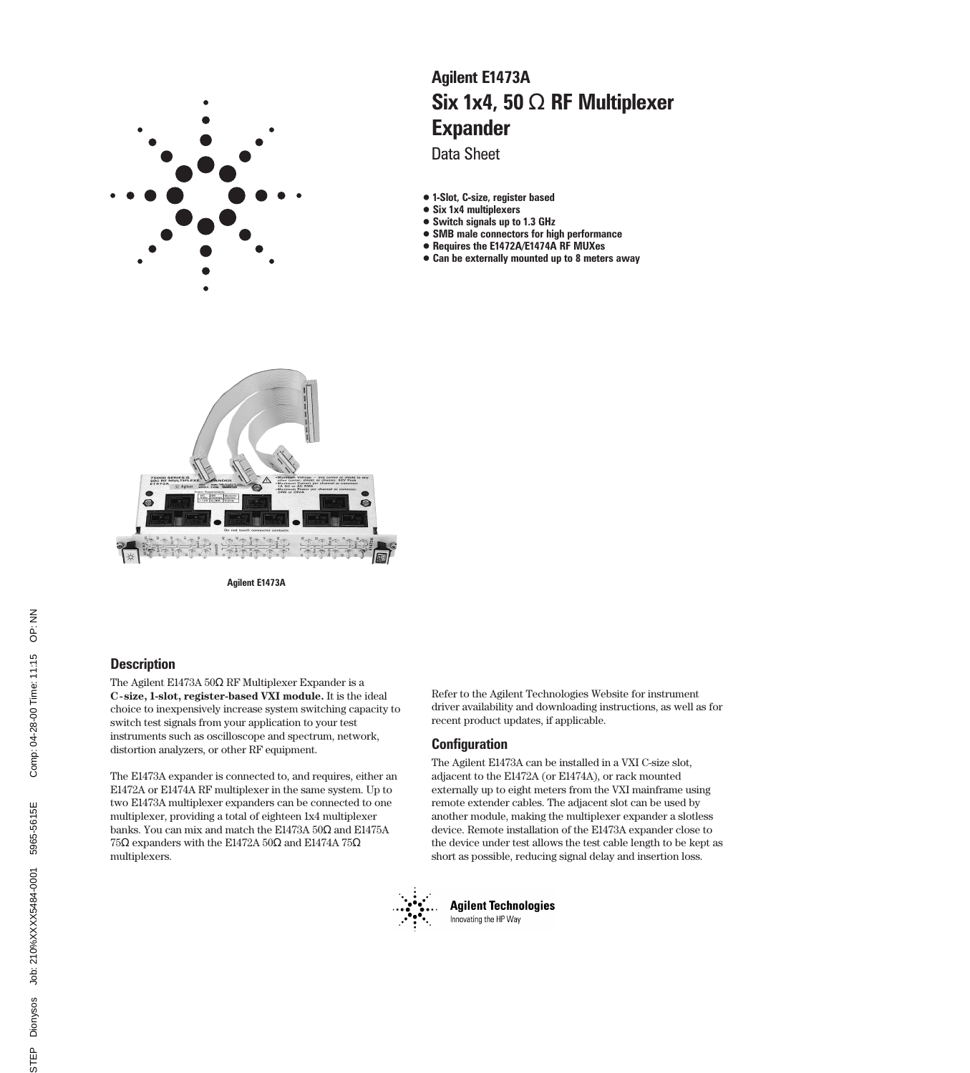

# Six 1x4, 50 Ω RF Multiplexer Expander Agilent E1473A

Data Sheet

- 1-Slot, C-size, register based
- Six 1x4 multiplexers
- Switch signals up to 1.3 GHz
- SMB male connectors for high performance
- Requires the E1472A/E1474A RF MUXes
- Can be externally mounted up to 8 meters away



Agilent E1473A

# **Description**

The Agilent E1473A 50Ω RF Multiplexer Expander is a **C-size, 1-slot, register-based VXI module.** It is the ideal choice to inexpensively increase system switching capacity to switch test signals from your application to your test instruments such as oscilloscope and spectrum, network, distortion analyzers, or other RF equipment.

The E1473A expander is connected to, and requires, either an E1472A or E1474A RF multiplexer in the same system. Up to two E1473A multiplexer expanders can be connected to one multiplexer, providing a total of eighteen 1x4 multiplexer banks. You can mix and match the E1473A 50Ω and E1475A 75Ω expanders with the E1472A 50Ω and E1474A 75Ω multiplexers.

Refer to the Agilent Technologies Website for instrument driver availability and downloading instructions, as well as for recent product updates, if applicable.

# **Configuration**

The Agilent E1473A can be installed in a VXI C-size slot, adjacent to the E1472A (or E1474A), or rack mounted externally up to eight meters from the VXI mainframe using remote extender cables. The adjacent slot can be used by another module, making the multiplexer expander a slotless device. Remote installation of the E1473A expander close to the device under test allows the test cable length to be kept as short as possible, reducing signal delay and insertion loss.



**Agilent Technologies** Innovating the HP Way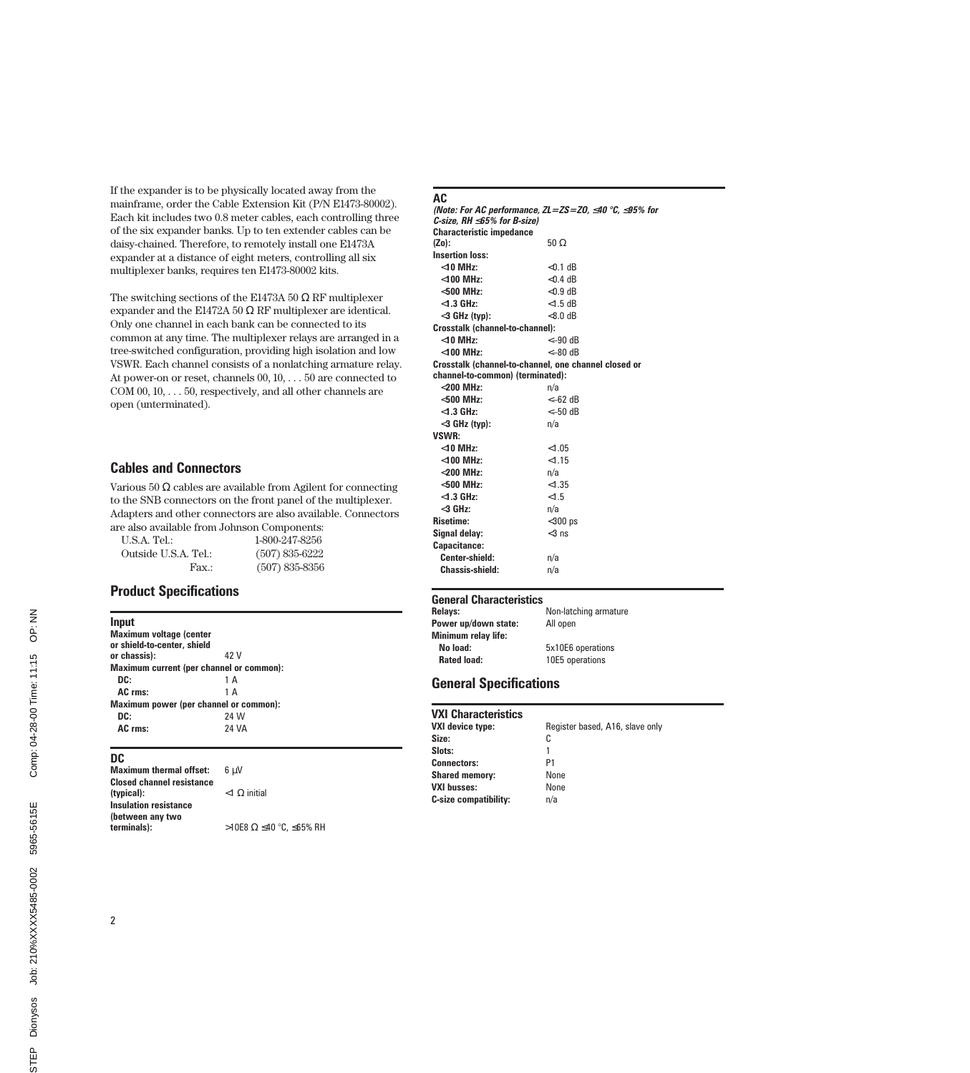If the expander is to be physically located away from the mainframe, order the Cable Extension Kit (P/N E1473-80002). Each kit includes two 0.8 meter cables, each controlling three of the six expander banks. Up to ten extender cables can be daisy-chained. Therefore, to remotely install one E1473A expander at a distance of eight meters, controlling all six multiplexer banks, requires ten E1473-80002 kits.

The switching sections of the E1473A 50  $\Omega$  RF multiplexer expander and the E1472A 50  $\Omega$  RF multiplexer are identical. Only one channel in each bank can be connected to its common at any time. The multiplexer relays are arranged in a tree-switched configuration, providing high isolation and low VSWR. Each channel consists of a nonlatching armature relay. At power-on or reset, channels 00, 10, . . . 50 are connected to COM 00, 10, . . . 50, respectively, and all other channels are open (unterminated).

# Cables and Connectors

Various 50  $\Omega$  cables are available from Agilent for connecting to the SNB connectors on the front panel of the multiplexer. Adapters and other connectors are also available. Connectors are also available from Johnson Components:

U.S.A. Tel.: 1-800-247-8256 Outside U.S.A. Tel.: (507) 835-6222 Fax.: (507) 835-8356

# Product Specifications

| <b>Input</b>                           |                                          |  |
|----------------------------------------|------------------------------------------|--|
| <b>Maximum voltage (center</b>         |                                          |  |
| or shield-to-center, shield            |                                          |  |
| or chassis):                           | 42 V                                     |  |
|                                        | Maximum current (per channel or common): |  |
| DC:                                    | 1 A                                      |  |
| AC rms:                                | 1 A                                      |  |
| Maximum power (per channel or common): |                                          |  |
| DC:                                    | 24 W                                     |  |
| AC rms:                                | <b>24 VA</b>                             |  |
|                                        |                                          |  |

# DC

| <b>Maximum thermal offset:</b>   | 6 u.V                   |
|----------------------------------|-------------------------|
| <b>Closed channel resistance</b> |                         |
| (typical):                       | $<$ 1 $\Omega$ initial  |
| <b>Insulation resistance</b>     |                         |
| (between any two                 |                         |
| terminals):                      | >10E8 Ω ≤40 °C, ≤65% RH |

### AC

(Note: For AC performance, ZL=ZS=Z0,  $\leq$ 40 °C,  $\leq$ 95% for C-size, RH ≤65% for B-size) Characteristic impedance<br>(Zo): 50  $\Omega$ Insertion loss: <10 MHz: <0.1 dB <100 MHz: <0.4 dB <500 MHz:  $<$ 0.9 dB <1.3 GHz: <1.5 dB  $<$ 3 GHz (typ):  $<$ 8.0 dB Crosstalk (channel-to-channel):  $<$ 10 MHz:  $<$ –90 dB <100 MHz: <–80 dB Crosstalk (channel-to-channel, one channel closed or channel-to-common) (terminated): <200 MHz: n/a  $<-62$  dB  $<$ 1.3 GHz:  $<$   $<$  50 dB  $<$ 3 GHz (typ):  $n/a$ VSWR: <10 MHz: <1.05 <100 MHz: <1.15 <200 MHz: n/a  $<$  500 MHz:  $<$  1.35  $<$  1.36  $<$  1.5  $<$ 1.3 GHz: <3 GHz: n/a Risetime: <300 ps Signal delay:  $<$ 3 ns Capacitance: Center-shield: n/a Chassis-shield: n/a

#### General Characteristics

| <b>Relavs:</b>       | Non-latching armature |  |
|----------------------|-----------------------|--|
| Power up/down state: | All open              |  |
| Minimum relay life:  |                       |  |
| No load:             | 5x10E6 operations     |  |
| <b>Rated load:</b>   | 10E5 operations       |  |

# General Specifications

| <b>VXI Characteristics</b>   |                                 |
|------------------------------|---------------------------------|
| <b>VXI device type:</b>      | Register based, A16, slave only |
| Size:                        | C                               |
| Slots:                       |                                 |
| <b>Connectors:</b>           | P1                              |
| <b>Shared memory:</b>        | None                            |
| <b>VXI busses:</b>           | None                            |
| <b>C-size compatibility:</b> | n/a                             |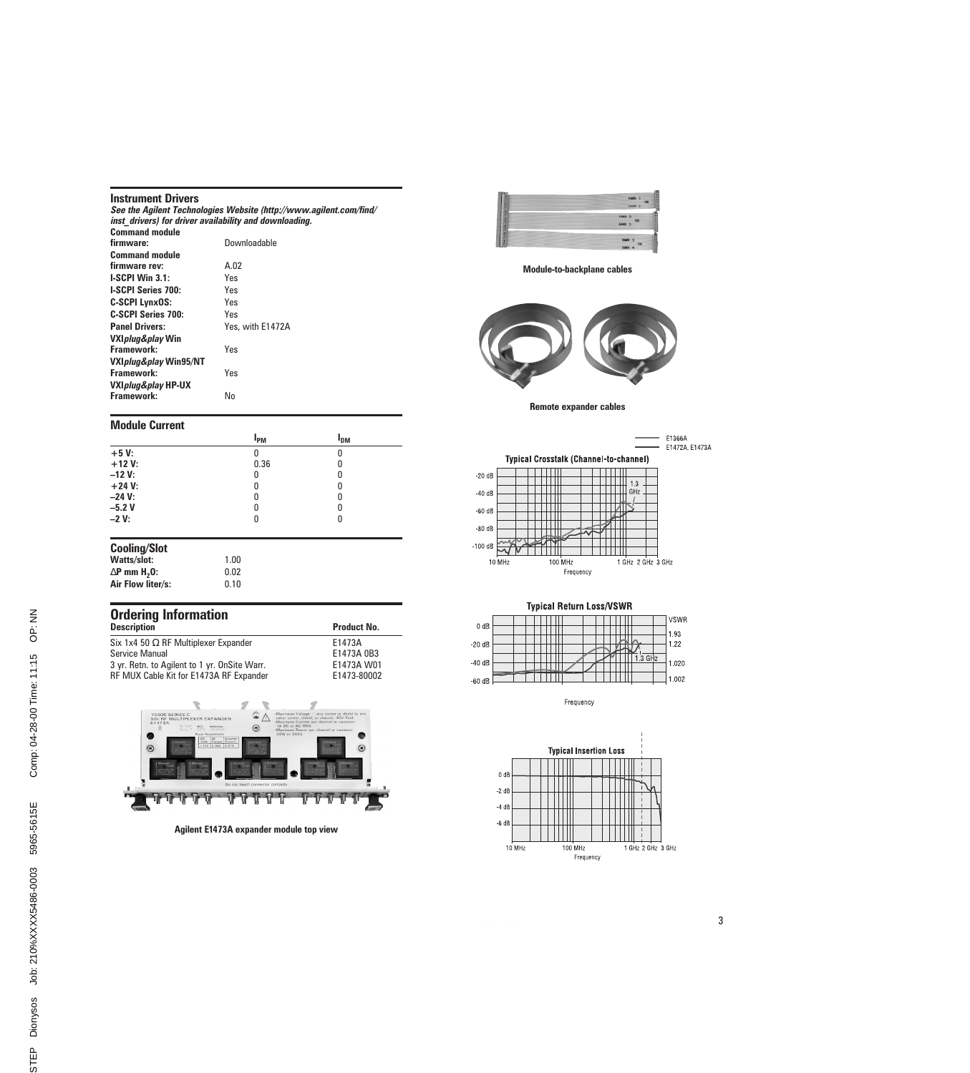#### Instrument Drivers

|                                                        | See the Agilent Technologies Website (http://www.agilent.com/find/ |
|--------------------------------------------------------|--------------------------------------------------------------------|
| inst drivers) for driver availability and downloading. |                                                                    |
| <b>Command module</b>                                  |                                                                    |
| firmware:                                              | Downloadable                                                       |
| <b>Command module</b>                                  |                                                                    |
| firmware rev:                                          | A.02                                                               |
| $l-SCPI$ Win $3.1$ :                                   | Yes                                                                |
| <b>I-SCPI Series 700:</b>                              | Yes                                                                |
| <b>C-SCPI LynxOS:</b>                                  | Yes                                                                |
| <b>C-SCPI Series 700:</b>                              | Yes                                                                |
| <b>Panel Drivers:</b>                                  | Yes, with E1472A                                                   |
| VXI <i>plug&amp;play</i> Win                           |                                                                    |
| Framework:                                             | Yes                                                                |
| VXIplug&play Win95/NT                                  |                                                                    |
| Framework:                                             | Yes                                                                |
| VXIplug&play HP-UX                                     |                                                                    |
| Framework:                                             | No                                                                 |

#### Module Current

|                                    | l <sub>pm</sub> | I <sub>DM</sub> |  |
|------------------------------------|-----------------|-----------------|--|
| $+5V$                              | 0               | 0               |  |
| $+12V$ :                           | 0.36            | 0               |  |
| $-12V$ :                           | 0               | 0               |  |
| $+24 V:$                           | 0               | 0               |  |
| $-24$ V:                           | 0               | 0               |  |
| $-5.2V$                            | 0               | 0               |  |
| $-2V:$                             | 0               | 0               |  |
| <b>Cooling/Slot</b><br>Watts/slot: | 1.00            |                 |  |

| walls/sivi.                     | 1.UU |
|---------------------------------|------|
| $\Delta$ P mm H <sub>2</sub> 0: | 0.02 |
| Air Flow liter/s:               | 0.10 |

| <b>Ordering Information</b>                  |                    |
|----------------------------------------------|--------------------|
| <b>Description</b>                           | <b>Product No.</b> |
| Six 1x4 50 $\Omega$ RF Multiplexer Expander  | E1473A             |
| <b>Service Manual</b>                        | E1473A 0B3         |
| 3 yr. Retn. to Agilent to 1 yr. OnSite Warr. | E1473A W01         |
| RF MUX Cable Kit for E1473A RF Expander      | E1473-80002        |



Agilent E1473A expander module top view



Module-to-backplane cables



Remote expander cables





Frequency